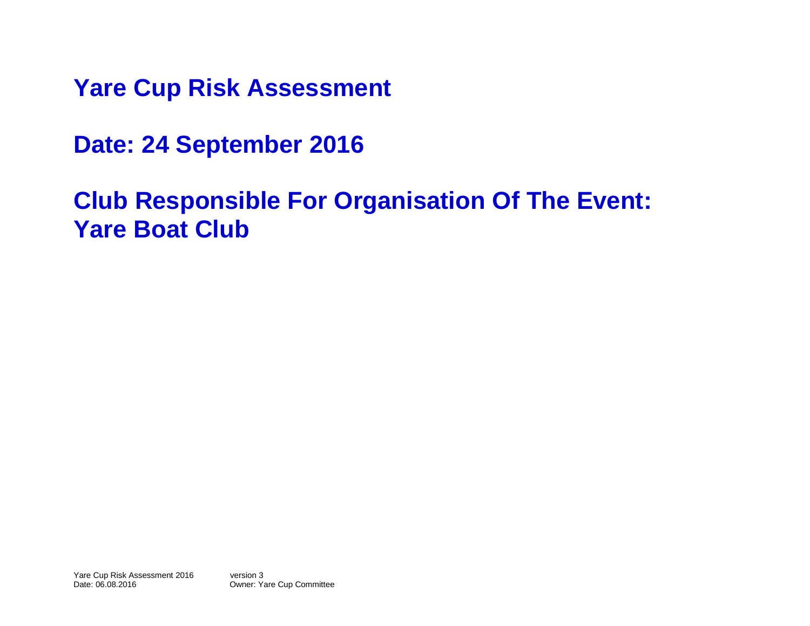**Yare Cup Risk Assessment** 

**Date: 24 September 2016**

**Club Responsible For Organisation Of The Event: Yare Boat Club**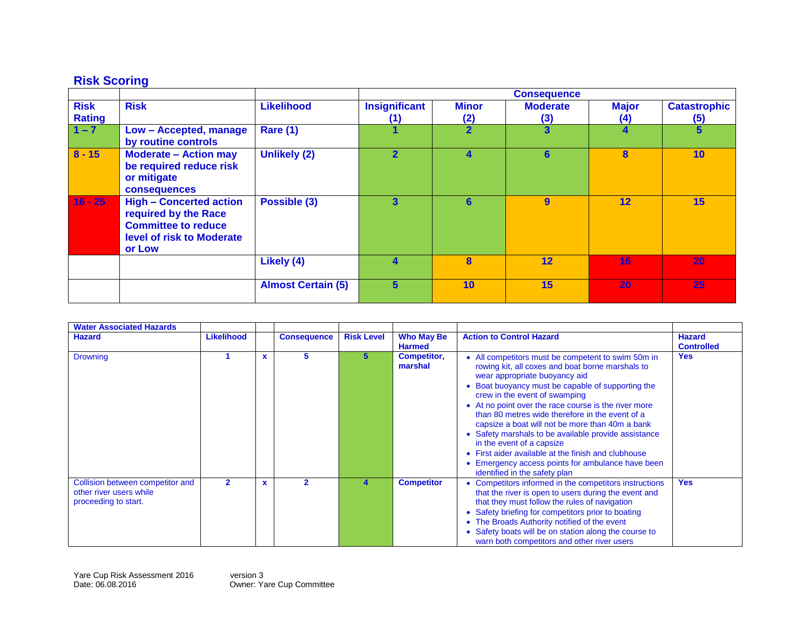## **Risk Scoring**

| <b>Risk</b><br><b>Rating</b> | <b>Risk</b>                                                                                                                 | <b>Likelihood</b>         | <b>Insignificant</b><br>(1) | <b>Minor</b><br>(2) | <b>Moderate</b><br>(3) | <b>Major</b><br>$\left( 4\right)$ | <b>Catastrophic</b><br>(5) |
|------------------------------|-----------------------------------------------------------------------------------------------------------------------------|---------------------------|-----------------------------|---------------------|------------------------|-----------------------------------|----------------------------|
| $1 - 7$                      | Low - Accepted, manage<br>by routine controls                                                                               | <b>Rare (1)</b>           | 1                           | $\overline{2}$      | 3                      | 4                                 | $5\phantom{a}$             |
| $8 - 15$                     | <b>Moderate - Action may</b><br>be required reduce risk<br>or mitigate<br><b>consequences</b>                               | <b>Unlikely (2)</b>       | $\overline{2}$              | 4                   | 6                      | 8                                 | 10                         |
| $16 - 25$                    | <b>High - Concerted action</b><br>required by the Race<br><b>Committee to reduce</b><br>level of risk to Moderate<br>or Low | Possible (3)              | 3                           | 6                   | 9                      | 12                                | 15                         |
|                              |                                                                                                                             | Likely (4)                | 4                           | 8                   | 12                     | 16                                | 20                         |
|                              |                                                                                                                             | <b>Almost Certain (5)</b> | 5                           | 10                  | 15                     | 20                                | 25                         |

| <b>Water Associated Hazards</b>                                                     |                   |   |                    |                   |                                    |                                                                                                                                                                                                                                                                                                                                                                                                                                                                                                                                                                                                                               |                                    |
|-------------------------------------------------------------------------------------|-------------------|---|--------------------|-------------------|------------------------------------|-------------------------------------------------------------------------------------------------------------------------------------------------------------------------------------------------------------------------------------------------------------------------------------------------------------------------------------------------------------------------------------------------------------------------------------------------------------------------------------------------------------------------------------------------------------------------------------------------------------------------------|------------------------------------|
| <b>Hazard</b>                                                                       | <b>Likelihood</b> |   | <b>Consequence</b> | <b>Risk Level</b> | <b>Who May Be</b><br><b>Harmed</b> | <b>Action to Control Hazard</b>                                                                                                                                                                                                                                                                                                                                                                                                                                                                                                                                                                                               | <b>Hazard</b><br><b>Controlled</b> |
| <b>Drowning</b>                                                                     |                   |   | 5                  | 5.                | <b>Competitor,</b><br>marshal      | • All competitors must be competent to swim 50m in<br>rowing kit, all coxes and boat borne marshals to<br>wear appropriate buoyancy aid<br>• Boat buoyancy must be capable of supporting the<br>crew in the event of swamping<br>• At no point over the race course is the river more<br>than 80 metres wide therefore in the event of a<br>capsize a boat will not be more than 40m a bank<br>• Safety marshals to be available provide assistance<br>in the event of a capsize<br>• First aider available at the finish and clubhouse<br>• Emergency access points for ambulance have been<br>identified in the safety plan | <b>Yes</b>                         |
| Collision between competitor and<br>other river users while<br>proceeding to start. | $\overline{2}$    | x | $\overline{2}$     |                   | <b>Competitor</b>                  | • Competitors informed in the competitors instructions<br>that the river is open to users during the event and<br>that they must follow the rules of navigation<br>• Safety briefing for competitors prior to boating<br>• The Broads Authority notified of the event<br>• Safety boats will be on station along the course to<br>warn both competitors and other river users                                                                                                                                                                                                                                                 | <b>Yes</b>                         |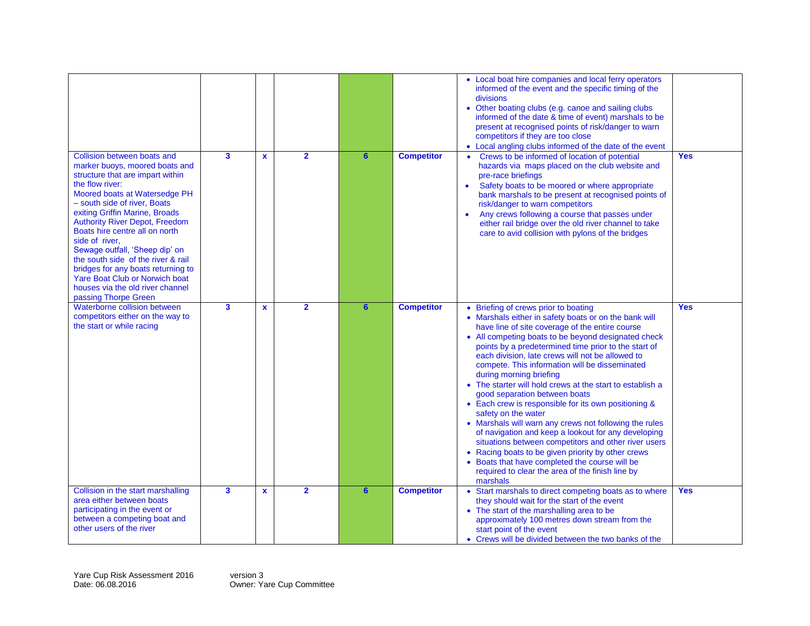| Collision between boats and<br>marker buoys, moored boats and<br>structure that are impart within<br>the flow river:<br>Moored boats at Watersedge PH<br>- south side of river, Boats<br>exiting Griffin Marine, Broads<br><b>Authority River Depot, Freedom</b><br>Boats hire centre all on north<br>side of river,<br>Sewage outfall, 'Sheep dip' on<br>the south side of the river & rail<br>bridges for any boats returning to<br>Yare Boat Club or Norwich boat<br>houses via the old river channel | $\mathbf{3}$            | $\mathbf{x}$ | $\overline{2}$          | 6               | <b>Competitor</b> | • Local boat hire companies and local ferry operators<br>informed of the event and the specific timing of the<br>divisions<br>• Other boating clubs (e.g. canoe and sailing clubs<br>informed of the date & time of event) marshals to be<br>present at recognised points of risk/danger to warn<br>competitors if they are too close<br>• Local angling clubs informed of the date of the event<br>Crews to be informed of location of potential<br>hazards via maps placed on the club website and<br>pre-race briefings<br>Safety boats to be moored or where appropriate<br>$\bullet$<br>bank marshals to be present at recognised points of<br>risk/danger to warn competitors<br>Any crews following a course that passes under<br>$\bullet$<br>either rail bridge over the old river channel to take<br>care to avid collision with pylons of the bridges                                                               | <b>Yes</b> |
|----------------------------------------------------------------------------------------------------------------------------------------------------------------------------------------------------------------------------------------------------------------------------------------------------------------------------------------------------------------------------------------------------------------------------------------------------------------------------------------------------------|-------------------------|--------------|-------------------------|-----------------|-------------------|--------------------------------------------------------------------------------------------------------------------------------------------------------------------------------------------------------------------------------------------------------------------------------------------------------------------------------------------------------------------------------------------------------------------------------------------------------------------------------------------------------------------------------------------------------------------------------------------------------------------------------------------------------------------------------------------------------------------------------------------------------------------------------------------------------------------------------------------------------------------------------------------------------------------------------|------------|
| passing Thorpe Green<br>Waterborne collision between<br>competitors either on the way to<br>the start or while racing                                                                                                                                                                                                                                                                                                                                                                                    | 3                       | $\mathbf{x}$ | $\overline{\mathbf{2}}$ | $6\overline{6}$ | <b>Competitor</b> | • Briefing of crews prior to boating<br>• Marshals either in safety boats or on the bank will<br>have line of site coverage of the entire course<br>• All competing boats to be beyond designated check<br>points by a predetermined time prior to the start of<br>each division, late crews will not be allowed to<br>compete. This information will be disseminated<br>during morning briefing<br>• The starter will hold crews at the start to establish a<br>good separation between boats<br>• Each crew is responsible for its own positioning &<br>safety on the water<br>• Marshals will warn any crews not following the rules<br>of navigation and keep a lookout for any developing<br>situations between competitors and other river users<br>• Racing boats to be given priority by other crews<br>• Boats that have completed the course will be<br>required to clear the area of the finish line by<br>marshals | <b>Yes</b> |
| Collision in the start marshalling<br>area either between boats<br>participating in the event or<br>between a competing boat and<br>other users of the river                                                                                                                                                                                                                                                                                                                                             | $\overline{\mathbf{3}}$ | $\mathbf x$  | $\overline{2}$          | $6\phantom{1}$  | <b>Competitor</b> | Start marshals to direct competing boats as to where<br>they should wait for the start of the event<br>• The start of the marshalling area to be<br>approximately 100 metres down stream from the<br>start point of the event<br>• Crews will be divided between the two banks of the                                                                                                                                                                                                                                                                                                                                                                                                                                                                                                                                                                                                                                          | <b>Yes</b> |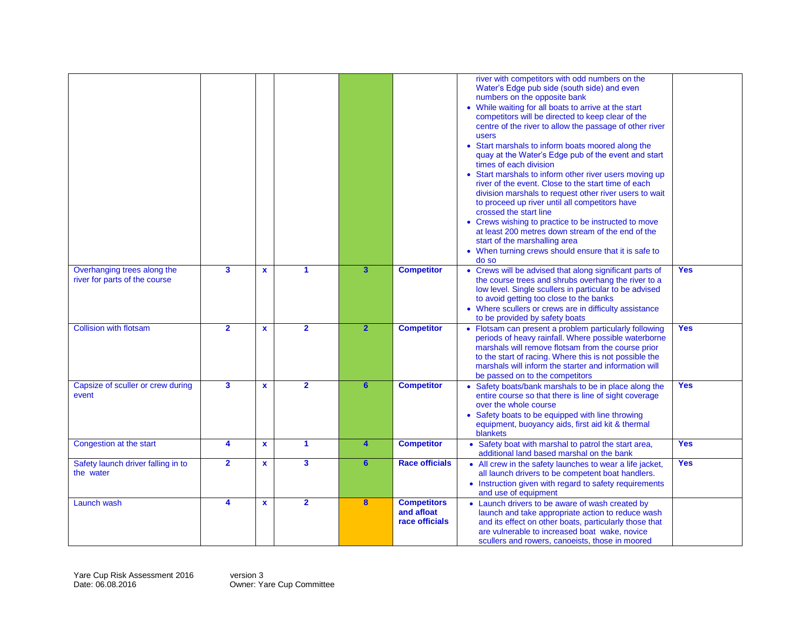|                                                              |                         |              |                         |                         |                                                    | river with competitors with odd numbers on the<br>Water's Edge pub side (south side) and even<br>numbers on the opposite bank<br>• While waiting for all boats to arrive at the start<br>competitors will be directed to keep clear of the<br>centre of the river to allow the passage of other river<br>users<br>• Start marshals to inform boats moored along the<br>quay at the Water's Edge pub of the event and start<br>times of each division<br>• Start marshals to inform other river users moving up<br>river of the event. Close to the start time of each<br>division marshals to request other river users to wait<br>to proceed up river until all competitors have<br>crossed the start line<br>• Crews wishing to practice to be instructed to move<br>at least 200 metres down stream of the end of the<br>start of the marshalling area<br>• When turning crews should ensure that it is safe to<br>do so |            |
|--------------------------------------------------------------|-------------------------|--------------|-------------------------|-------------------------|----------------------------------------------------|-----------------------------------------------------------------------------------------------------------------------------------------------------------------------------------------------------------------------------------------------------------------------------------------------------------------------------------------------------------------------------------------------------------------------------------------------------------------------------------------------------------------------------------------------------------------------------------------------------------------------------------------------------------------------------------------------------------------------------------------------------------------------------------------------------------------------------------------------------------------------------------------------------------------------------|------------|
| Overhanging trees along the<br>river for parts of the course | $\mathbf{3}$            | $\mathbf{x}$ | $\blacktriangleleft$    | $\overline{\mathbf{3}}$ | <b>Competitor</b>                                  | • Crews will be advised that along significant parts of<br>the course trees and shrubs overhang the river to a<br>low level. Single scullers in particular to be advised<br>to avoid getting too close to the banks<br>• Where scullers or crews are in difficulty assistance<br>to be provided by safety boats                                                                                                                                                                                                                                                                                                                                                                                                                                                                                                                                                                                                             | <b>Yes</b> |
| <b>Collision with flotsam</b>                                | $\overline{2}$          | $\mathbf{x}$ | $\overline{2}$          | $\overline{2}$          | <b>Competitor</b>                                  | • Flotsam can present a problem particularly following<br>periods of heavy rainfall. Where possible waterborne<br>marshals will remove flotsam from the course prior<br>to the start of racing. Where this is not possible the<br>marshals will inform the starter and information will<br>be passed on to the competitors                                                                                                                                                                                                                                                                                                                                                                                                                                                                                                                                                                                                  | <b>Yes</b> |
| Capsize of sculler or crew during<br>event                   | $\overline{\mathbf{3}}$ | $\mathbf{x}$ | $\overline{2}$          | $6\phantom{a}$          | <b>Competitor</b>                                  | • Safety boats/bank marshals to be in place along the<br>entire course so that there is line of sight coverage<br>over the whole course<br>• Safety boats to be equipped with line throwing<br>equipment, buoyancy aids, first aid kit & thermal<br>blankets                                                                                                                                                                                                                                                                                                                                                                                                                                                                                                                                                                                                                                                                | <b>Yes</b> |
| Congestion at the start                                      | 4                       | $\mathbf{x}$ | $\blacktriangleleft$    | 4                       | <b>Competitor</b>                                  | • Safety boat with marshal to patrol the start area,<br>additional land based marshal on the bank                                                                                                                                                                                                                                                                                                                                                                                                                                                                                                                                                                                                                                                                                                                                                                                                                           | <b>Yes</b> |
| Safety launch driver falling in to<br>the water              | $\overline{2}$          | $\mathbf{x}$ | $\overline{\mathbf{3}}$ | 6 <sup>1</sup>          | <b>Race officials</b>                              | • All crew in the safety launches to wear a life jacket,<br>all launch drivers to be competent boat handlers.<br>• Instruction given with regard to safety requirements<br>and use of equipment                                                                                                                                                                                                                                                                                                                                                                                                                                                                                                                                                                                                                                                                                                                             | <b>Yes</b> |
| Launch wash                                                  | 4                       | $\mathbf{x}$ | $\overline{2}$          | 8                       | <b>Competitors</b><br>and afloat<br>race officials | • Launch drivers to be aware of wash created by<br>launch and take appropriate action to reduce wash<br>and its effect on other boats, particularly those that<br>are vulnerable to increased boat wake, novice<br>scullers and rowers, canoeists, those in moored                                                                                                                                                                                                                                                                                                                                                                                                                                                                                                                                                                                                                                                          |            |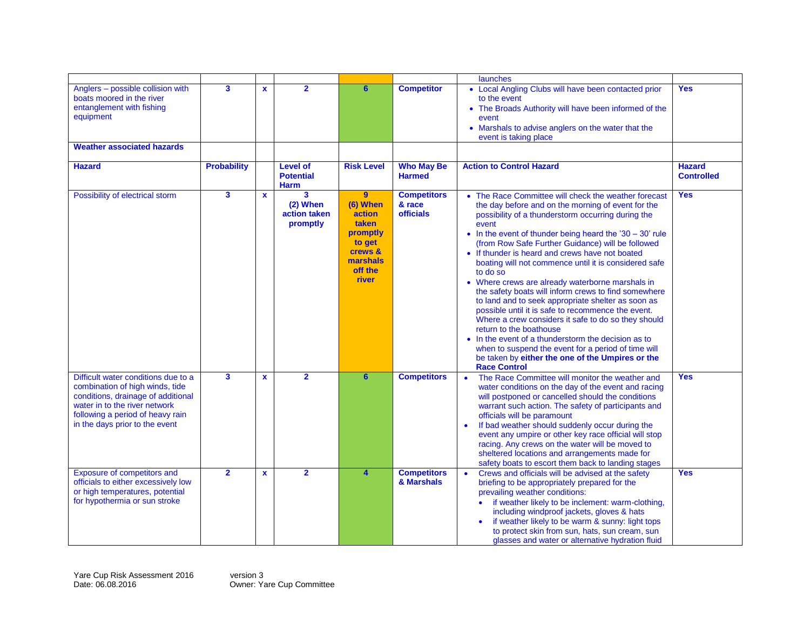|                                                                                                                                                                                                                     |                         |              |                                                    |                                                                                                                |                                                  | launches                                                                                                                                                                                                                                                                                                                                                                                                                                                                                                                                                                                                                                                                                                                                                                                                                                                                                                                |                                    |
|---------------------------------------------------------------------------------------------------------------------------------------------------------------------------------------------------------------------|-------------------------|--------------|----------------------------------------------------|----------------------------------------------------------------------------------------------------------------|--------------------------------------------------|-------------------------------------------------------------------------------------------------------------------------------------------------------------------------------------------------------------------------------------------------------------------------------------------------------------------------------------------------------------------------------------------------------------------------------------------------------------------------------------------------------------------------------------------------------------------------------------------------------------------------------------------------------------------------------------------------------------------------------------------------------------------------------------------------------------------------------------------------------------------------------------------------------------------------|------------------------------------|
| Anglers - possible collision with<br>boats moored in the river<br>entanglement with fishing<br>equipment<br><b>Weather associated hazards</b>                                                                       | $\mathbf{3}$            | $\mathbf{x}$ | $\overline{2}$                                     | 6                                                                                                              | <b>Competitor</b>                                | • Local Angling Clubs will have been contacted prior<br>to the event<br>• The Broads Authority will have been informed of the<br>event<br>• Marshals to advise anglers on the water that the<br>event is taking place                                                                                                                                                                                                                                                                                                                                                                                                                                                                                                                                                                                                                                                                                                   | <b>Yes</b>                         |
| <b>Hazard</b>                                                                                                                                                                                                       | <b>Probability</b>      |              | <b>Level of</b><br><b>Potential</b><br><b>Harm</b> | <b>Risk Level</b>                                                                                              | <b>Who May Be</b><br><b>Harmed</b>               | <b>Action to Control Hazard</b>                                                                                                                                                                                                                                                                                                                                                                                                                                                                                                                                                                                                                                                                                                                                                                                                                                                                                         | <b>Hazard</b><br><b>Controlled</b> |
| Possibility of electrical storm                                                                                                                                                                                     | 3                       | $\mathbf x$  | 3<br>$(2)$ When<br>action taken<br>promptly        | $\overline{9}$<br>(6) When<br>action<br>taken<br>promptly<br>to get<br>crews &<br>marshals<br>off the<br>river | <b>Competitors</b><br>& race<br><b>officials</b> | • The Race Committee will check the weather forecast<br>the day before and on the morning of event for the<br>possibility of a thunderstorm occurring during the<br>event<br>• In the event of thunder being heard the '30 $-$ 30' rule<br>(from Row Safe Further Guidance) will be followed<br>• If thunder is heard and crews have not boated<br>boating will not commence until it is considered safe<br>to do so<br>• Where crews are already waterborne marshals in<br>the safety boats will inform crews to find somewhere<br>to land and to seek appropriate shelter as soon as<br>possible until it is safe to recommence the event.<br>Where a crew considers it safe to do so they should<br>return to the boathouse<br>• In the event of a thunderstorm the decision as to<br>when to suspend the event for a period of time will<br>be taken by either the one of the Umpires or the<br><b>Race Control</b> | <b>Yes</b>                         |
| Difficult water conditions due to a<br>combination of high winds, tide<br>conditions, drainage of additional<br>water in to the river network<br>following a period of heavy rain<br>in the days prior to the event | $\overline{\mathbf{3}}$ | $\mathbf{x}$ | $\overline{2}$                                     | $6\phantom{a}$                                                                                                 | <b>Competitors</b>                               | The Race Committee will monitor the weather and<br>$\bullet$<br>water conditions on the day of the event and racing<br>will postponed or cancelled should the conditions<br>warrant such action. The safety of participants and<br>officials will be paramount<br>If bad weather should suddenly occur during the<br>$\bullet$<br>event any umpire or other key race official will stop<br>racing. Any crews on the water will be moved to<br>sheltered locations and arrangements made for<br>safety boats to escort them back to landing stages                                                                                                                                                                                                                                                                                                                                                                       | <b>Yes</b>                         |
| Exposure of competitors and<br>officials to either excessively low<br>or high temperatures, potential<br>for hypothermia or sun stroke                                                                              | $\overline{2}$          | $\mathbf{x}$ | $\overline{2}$                                     | $\overline{\mathbf{4}}$                                                                                        | <b>Competitors</b><br>& Marshals                 | Crews and officials will be advised at the safety<br>$\bullet$<br>briefing to be appropriately prepared for the<br>prevailing weather conditions:<br>if weather likely to be inclement: warm-clothing,<br>including windproof jackets, gloves & hats<br>if weather likely to be warm & sunny: light tops<br>to protect skin from sun, hats, sun cream, sun<br>glasses and water or alternative hydration fluid                                                                                                                                                                                                                                                                                                                                                                                                                                                                                                          | <b>Yes</b>                         |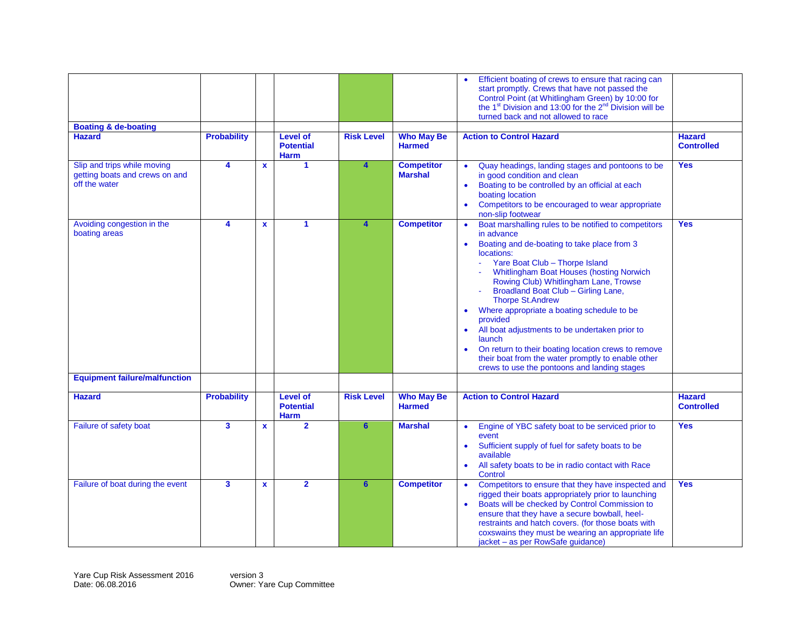| <b>Boating &amp; de-boating</b>                                                |                         |              |                                                    |                         |                                     | Efficient boating of crews to ensure that racing can<br>start promptly. Crews that have not passed the<br>Control Point (at Whitlingham Green) by 10:00 for<br>the 1 <sup>st</sup> Division and 13:00 for the 2 <sup>nd</sup> Division will be<br>turned back and not allowed to race                                                                                                                                                                                                                                                                                                                                                                                  |                                    |
|--------------------------------------------------------------------------------|-------------------------|--------------|----------------------------------------------------|-------------------------|-------------------------------------|------------------------------------------------------------------------------------------------------------------------------------------------------------------------------------------------------------------------------------------------------------------------------------------------------------------------------------------------------------------------------------------------------------------------------------------------------------------------------------------------------------------------------------------------------------------------------------------------------------------------------------------------------------------------|------------------------------------|
| <b>Hazard</b>                                                                  | <b>Probability</b>      |              | <b>Level of</b><br><b>Potential</b><br><b>Harm</b> | <b>Risk Level</b>       | <b>Who May Be</b><br><b>Harmed</b>  | <b>Action to Control Hazard</b>                                                                                                                                                                                                                                                                                                                                                                                                                                                                                                                                                                                                                                        | <b>Hazard</b><br><b>Controlled</b> |
| Slip and trips while moving<br>getting boats and crews on and<br>off the water | 4                       | $\mathbf{x}$ | 1                                                  | $\overline{\mathbf{4}}$ | <b>Competitor</b><br><b>Marshal</b> | Quay headings, landing stages and pontoons to be<br>in good condition and clean<br>Boating to be controlled by an official at each<br>$\bullet$<br>boating location<br>Competitors to be encouraged to wear appropriate<br>non-slip footwear                                                                                                                                                                                                                                                                                                                                                                                                                           | <b>Yes</b>                         |
| Avoiding congestion in the<br>boating areas                                    | 4                       | $\mathbf{x}$ | 1                                                  | 4                       | <b>Competitor</b>                   | Boat marshalling rules to be notified to competitors<br>$\bullet$<br>in advance<br>Boating and de-boating to take place from 3<br>$\bullet$<br>locations:<br>Yare Boat Club - Thorpe Island<br><b>Whitlingham Boat Houses (hosting Norwich</b><br>Rowing Club) Whitlingham Lane, Trowse<br>Broadland Boat Club - Girling Lane,<br><b>Thorpe St.Andrew</b><br>Where appropriate a boating schedule to be<br>$\bullet$<br>provided<br>All boat adjustments to be undertaken prior to<br>launch<br>On return to their boating location crews to remove<br>$\bullet$<br>their boat from the water promptly to enable other<br>crews to use the pontoons and landing stages | <b>Yes</b>                         |
| <b>Equipment failure/malfunction</b>                                           |                         |              |                                                    |                         |                                     |                                                                                                                                                                                                                                                                                                                                                                                                                                                                                                                                                                                                                                                                        |                                    |
| <b>Hazard</b>                                                                  | <b>Probability</b>      |              | <b>Level of</b><br><b>Potential</b><br><b>Harm</b> | <b>Risk Level</b>       | <b>Who May Be</b><br><b>Harmed</b>  | <b>Action to Control Hazard</b>                                                                                                                                                                                                                                                                                                                                                                                                                                                                                                                                                                                                                                        | <b>Hazard</b><br><b>Controlled</b> |
| Failure of safety boat                                                         | $\overline{\mathbf{3}}$ | $\mathbf{x}$ | $\overline{2}$                                     | $6\phantom{a}$          | <b>Marshal</b>                      | Engine of YBC safety boat to be serviced prior to<br>$\bullet$<br>event<br>Sufficient supply of fuel for safety boats to be<br>$\bullet$<br>available<br>All safety boats to be in radio contact with Race<br>$\bullet$<br><b>Control</b>                                                                                                                                                                                                                                                                                                                                                                                                                              | <b>Yes</b>                         |
| Failure of boat during the event                                               | $\overline{\mathbf{3}}$ | $\mathbf{x}$ | $\overline{2}$                                     | 6 <sup>1</sup>          | <b>Competitor</b>                   | Competitors to ensure that they have inspected and<br>$\bullet$<br>rigged their boats appropriately prior to launching<br>Boats will be checked by Control Commission to<br>$\bullet$<br>ensure that they have a secure bowball, heel-<br>restraints and hatch covers. (for those boats with<br>coxswains they must be wearing an appropriate life<br>jacket - as per RowSafe guidance)                                                                                                                                                                                                                                                                                | <b>Yes</b>                         |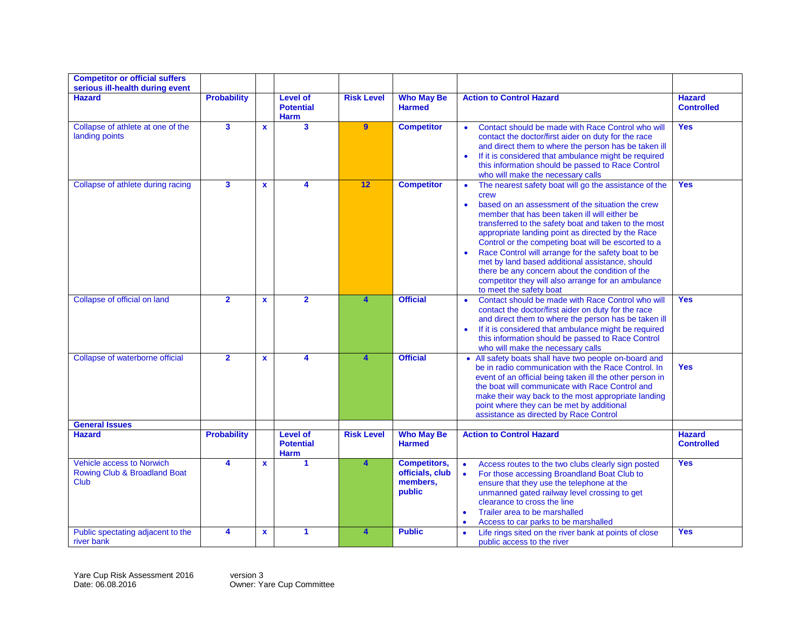| <b>Competitor or official suffers</b><br>serious ill-health during event |                         |              |                                                    |                   |                                                              |                                                                                                                                                                                                                                                                                                                                                                                                                                                                                                                                                                                                                             |                                    |
|--------------------------------------------------------------------------|-------------------------|--------------|----------------------------------------------------|-------------------|--------------------------------------------------------------|-----------------------------------------------------------------------------------------------------------------------------------------------------------------------------------------------------------------------------------------------------------------------------------------------------------------------------------------------------------------------------------------------------------------------------------------------------------------------------------------------------------------------------------------------------------------------------------------------------------------------------|------------------------------------|
| <b>Hazard</b>                                                            | <b>Probability</b>      |              | <b>Level of</b><br><b>Potential</b><br><b>Harm</b> | <b>Risk Level</b> | <b>Who May Be</b><br><b>Harmed</b>                           | <b>Action to Control Hazard</b>                                                                                                                                                                                                                                                                                                                                                                                                                                                                                                                                                                                             | <b>Hazard</b><br><b>Controlled</b> |
| Collapse of athlete at one of the<br>landing points                      | $\overline{\mathbf{3}}$ | $\mathbf{x}$ | 3                                                  | $\overline{9}$    | <b>Competitor</b>                                            | Contact should be made with Race Control who will<br>$\bullet$<br>contact the doctor/first aider on duty for the race<br>and direct them to where the person has be taken ill<br>If it is considered that ambulance might be required<br>this information should be passed to Race Control<br>who will make the necessary calls                                                                                                                                                                                                                                                                                             | <b>Yes</b>                         |
| Collapse of athlete during racing                                        | $\overline{\mathbf{3}}$ | $\mathbf{x}$ | 4                                                  | 12                | <b>Competitor</b>                                            | The nearest safety boat will go the assistance of the<br>$\bullet$<br>crew<br>based on an assessment of the situation the crew<br>$\bullet$<br>member that has been taken ill will either be<br>transferred to the safety boat and taken to the most<br>appropriate landing point as directed by the Race<br>Control or the competing boat will be escorted to a<br>Race Control will arrange for the safety boat to be<br>$\bullet$<br>met by land based additional assistance, should<br>there be any concern about the condition of the<br>competitor they will also arrange for an ambulance<br>to meet the safety boat | <b>Yes</b>                         |
| Collapse of official on land                                             | $\overline{2}$          | $\mathbf{x}$ | $\overline{2}$                                     | 4                 | <b>Official</b>                                              | Contact should be made with Race Control who will<br>$\bullet$<br>contact the doctor/first aider on duty for the race<br>and direct them to where the person has be taken ill<br>If it is considered that ambulance might be required<br>this information should be passed to Race Control<br>who will make the necessary calls                                                                                                                                                                                                                                                                                             | <b>Yes</b>                         |
| Collapse of waterborne official                                          | $\overline{2}$          | $\mathbf{x}$ | 4                                                  | 4                 | <b>Official</b>                                              | All safety boats shall have two people on-board and<br>$\bullet$<br>be in radio communication with the Race Control. In<br>event of an official being taken ill the other person in<br>the boat will communicate with Race Control and<br>make their way back to the most appropriate landing<br>point where they can be met by additional<br>assistance as directed by Race Control                                                                                                                                                                                                                                        | <b>Yes</b>                         |
| <b>General Issues</b><br><b>Hazard</b>                                   | <b>Probability</b>      |              | Level of<br><b>Potential</b><br>Harm               | <b>Risk Level</b> | <b>Who May Be</b><br><b>Harmed</b>                           | <b>Action to Control Hazard</b>                                                                                                                                                                                                                                                                                                                                                                                                                                                                                                                                                                                             | <b>Hazard</b><br><b>Controlled</b> |
| Vehicle access to Norwich<br>Rowing Club & Broadland Boat<br><b>Club</b> | 4                       | $\mathbf{x}$ | $\blacktriangleleft$                               | 4                 | <b>Competitors,</b><br>officials, club<br>members,<br>public | Access routes to the two clubs clearly sign posted<br>$\bullet$<br>$\bullet$<br>For those accessing Broandland Boat Club to<br>ensure that they use the telephone at the<br>unmanned gated railway level crossing to get<br>clearance to cross the line<br>Trailer area to be marshalled<br>$\bullet$<br>Access to car parks to be marshalled                                                                                                                                                                                                                                                                               | <b>Yes</b>                         |
| Public spectating adjacent to the<br>river bank                          | 4                       | $\mathbf{x}$ | $\blacktriangleleft$                               | 4                 | <b>Public</b>                                                | Life rings sited on the river bank at points of close<br>$\bullet$<br>public access to the river                                                                                                                                                                                                                                                                                                                                                                                                                                                                                                                            | <b>Yes</b>                         |